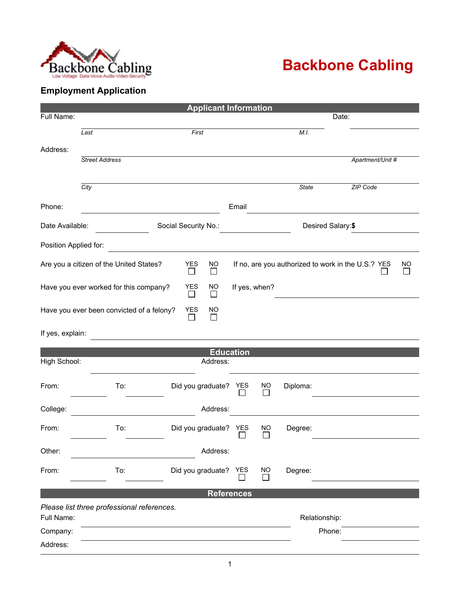

## **Backbone Cabling**

## **Employment Application**

| <b>Applicant Information</b>                                                        |                                            |                      |                      |            |                           |                   |        |                                                    |           |  |
|-------------------------------------------------------------------------------------|--------------------------------------------|----------------------|----------------------|------------|---------------------------|-------------------|--------|----------------------------------------------------|-----------|--|
| Full Name:                                                                          |                                            |                      |                      |            |                           |                   | Date:  |                                                    |           |  |
|                                                                                     | Last                                       | First                |                      |            |                           | M.I.              |        |                                                    |           |  |
|                                                                                     |                                            |                      |                      |            |                           |                   |        |                                                    |           |  |
| Address:                                                                            | <b>Street Address</b>                      |                      |                      |            |                           |                   |        | Apartment/Unit #                                   |           |  |
|                                                                                     |                                            |                      |                      |            |                           |                   |        |                                                    |           |  |
|                                                                                     | City                                       |                      |                      |            |                           | <b>State</b>      |        | <b>ZIP Code</b>                                    |           |  |
|                                                                                     |                                            |                      |                      |            |                           |                   |        |                                                    |           |  |
| Phone:                                                                              |                                            |                      |                      | Email      |                           |                   |        |                                                    |           |  |
| Date Available:                                                                     |                                            |                      | Social Security No.: |            |                           | Desired Salary:\$ |        |                                                    |           |  |
| Position Applied for:                                                               |                                            |                      |                      |            |                           |                   |        |                                                    |           |  |
| Are you a citizen of the United States?                                             |                                            | <b>YES</b><br>$\Box$ | <b>NO</b><br>$\Box$  |            |                           |                   |        | If no, are you authorized to work in the U.S.? YES | <b>NO</b> |  |
| Have you ever worked for this company?                                              |                                            |                      | <b>YES</b><br>NO     |            | If yes, when?             |                   |        |                                                    |           |  |
| <b>YES</b><br>Have you ever been convicted of a felony?<br><b>NO</b><br>$\Box$<br>□ |                                            |                      |                      |            |                           |                   |        |                                                    |           |  |
| If yes, explain:                                                                    |                                            |                      |                      |            |                           |                   |        |                                                    |           |  |
|                                                                                     |                                            |                      | <b>Education</b>     |            |                           |                   |        |                                                    |           |  |
| High School:                                                                        |                                            |                      | Address:             |            |                           |                   |        |                                                    |           |  |
| From:                                                                               | To:                                        |                      | Did you graduate?    | YES        | <b>NO</b>                 | Diploma:          |        |                                                    |           |  |
| College:                                                                            |                                            |                      | Address:             |            |                           |                   |        |                                                    |           |  |
| From:                                                                               | To:                                        |                      | Did you graduate?    | <b>YES</b> | NO<br>$\mathbf{I}$        | Degree:           |        |                                                    |           |  |
| Other:                                                                              |                                            |                      | Address:             |            |                           |                   |        |                                                    |           |  |
| From:                                                                               | To:                                        |                      | Did you graduate?    | YES        | <b>NO</b><br>$\mathsf{I}$ | Degree:           |        |                                                    |           |  |
|                                                                                     |                                            |                      | <b>References</b>    |            |                           |                   |        |                                                    |           |  |
|                                                                                     | Please list three professional references. |                      |                      |            |                           |                   |        |                                                    |           |  |
| Full Name:<br>Relationship:                                                         |                                            |                      |                      |            |                           |                   |        |                                                    |           |  |
| Company:                                                                            |                                            |                      |                      |            |                           |                   | Phone: |                                                    |           |  |
| Address:                                                                            |                                            |                      |                      |            |                           |                   |        |                                                    |           |  |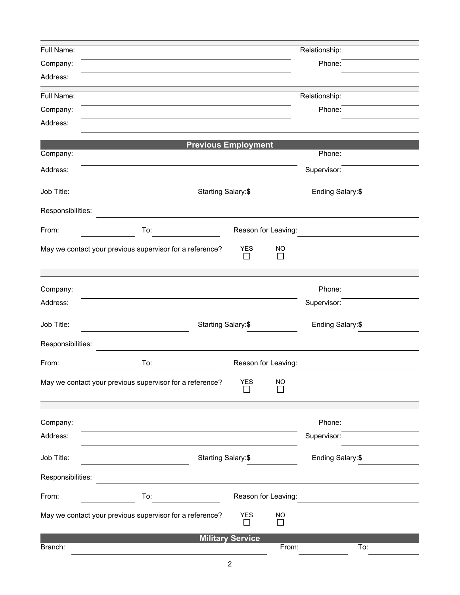| Full Name:        |                                                          |                                           |                       | Relationship: |     |  |  |  |
|-------------------|----------------------------------------------------------|-------------------------------------------|-----------------------|---------------|-----|--|--|--|
| Company:          |                                                          |                                           | Phone:                |               |     |  |  |  |
| Address:          |                                                          |                                           |                       |               |     |  |  |  |
| Full Name:        |                                                          |                                           |                       | Relationship: |     |  |  |  |
| Company:          |                                                          |                                           |                       | Phone:        |     |  |  |  |
| Address:          |                                                          |                                           |                       |               |     |  |  |  |
|                   |                                                          |                                           |                       |               |     |  |  |  |
| Company:          | <b>Previous Employment</b>                               |                                           |                       | Phone:        |     |  |  |  |
|                   |                                                          |                                           |                       |               |     |  |  |  |
| Address:          |                                                          |                                           |                       | Supervisor:   |     |  |  |  |
| Job Title:        | Starting Salary:\$                                       | Ending Salary: \$                         |                       |               |     |  |  |  |
| Responsibilities: |                                                          |                                           |                       |               |     |  |  |  |
| From:             | To:                                                      | Reason for Leaving:                       |                       |               |     |  |  |  |
|                   | May we contact your previous supervisor for a reference? | <b>YES</b><br>$\overline{\phantom{a}}$    | <b>NO</b><br>$\Box$   |               |     |  |  |  |
|                   |                                                          |                                           |                       |               |     |  |  |  |
| Company:          |                                                          |                                           |                       | Phone:        |     |  |  |  |
| Address:          |                                                          |                                           |                       | Supervisor:   |     |  |  |  |
| Job Title:        |                                                          | Starting Salary: \$                       |                       |               |     |  |  |  |
| Responsibilities: |                                                          |                                           |                       |               |     |  |  |  |
| From:             | To:<br>Reason for Leaving:                               |                                           |                       |               |     |  |  |  |
|                   | May we contact your previous supervisor for a reference? | <b>YES</b><br>$\mathcal{L}_{\mathcal{A}}$ | $\underline{NO}$<br>Г |               |     |  |  |  |
|                   |                                                          |                                           |                       |               |     |  |  |  |
| Company:          |                                                          |                                           |                       | Phone:        |     |  |  |  |
| Address:          |                                                          |                                           |                       | Supervisor:   |     |  |  |  |
| Job Title:        |                                                          | Starting Salary: \$                       |                       |               |     |  |  |  |
| Responsibilities: |                                                          |                                           |                       |               |     |  |  |  |
| From:             | To:                                                      |                                           | Reason for Leaving:   |               |     |  |  |  |
|                   | May we contact your previous supervisor for a reference? | <b>YES</b><br>П                           | <b>NO</b><br>$\Box$   |               |     |  |  |  |
|                   |                                                          | <b>Military Service</b>                   |                       |               |     |  |  |  |
| Branch:           |                                                          |                                           | From:                 |               | To: |  |  |  |